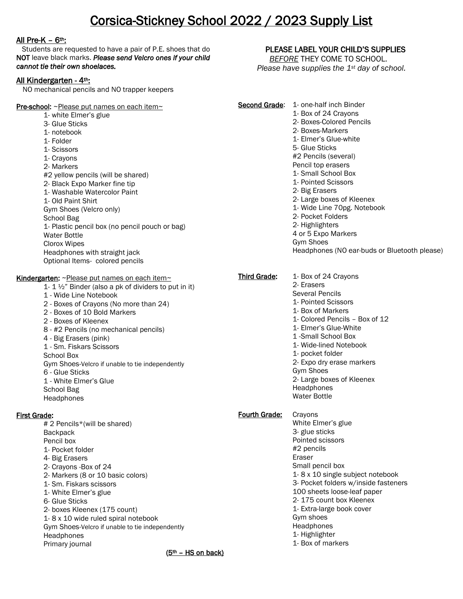# Corsica-Stickney School 2022 / 2023 Supply List

# All Pre-K –  $6<sup>th</sup>$ :

 Students are requested to have a pair of P.E. shoes that do NOT leave black marks. *Please send Velcro ones if your child cannot tie their own shoelaces.*

# All Kindergarten - 4th:

NO mechanical pencils and NO trapper keepers

#### Pre-school: ~Please put names on each item~ 1- white Elmer's glue 3- Glue Sticks 1- notebook 1- Folder 1- Scissors 1- Crayons 2- Markers #2 yellow pencils (will be shared) 2- Black Expo Marker fine tip 1- Washable Watercolor Paint 1- Old Paint Shirt Gym Shoes (Velcro only) School Bag 1- Plastic pencil box (no pencil pouch or bag) Water Bottle Clorox Wipes Headphones with straight jack Optional Items- colored pencils Kindergarten: ~Please put names on each item~ 1-  $1 \frac{1}{2}$  Binder (also a pk of dividers to put in it) 1 - Wide Line Notebook 2 - Boxes of Crayons (No more than 24) 2 - Boxes of 10 Bold Markers 2 - Boxes of Kleenex 8 - #2 Pencils (no mechanical pencils) 4 - Big Erasers (pink) 1 - Sm. Fiskars Scissors School Box Gym Shoes-Velcro if unable to tie independently 6 - Glue Sticks 1 - White Elmer's Glue School Bag Headphones First Grade: # 2 Pencils\*(will be shared) **Backpack** Pencil box 1- Pocket folder 4- Big Erasers 2- Crayons -Box of 24 2- Markers (8 or 10 basic colors) 1- Sm. Fiskars scissors 1- White Elmer's glue 6- Glue Sticks Second Grade: 1- one-half inch Binder 1- Box of 24 Crayons 2- Boxes-Colored Pencils Fourth Grade: Crayons Eraser

2- boxes Kleenex (175 count) 1- 8 x 10 wide ruled spiral notebook Gym Shoes-Velcro if unable to tie independently **Headphones** Primary journal

PLEASE LABEL YOUR CHILD'S SUPPLIES

 *BEFORE* THEY COME TO SCHOOL. *Please have supplies the 1st day of school.*

2- Boxes-Markers 1- Elmer's Glue-white 5- Glue Sticks #2 Pencils (several) Pencil top erasers 1- Small School Box 1- Pointed Scissors 2- Big Erasers 2- Large boxes of Kleenex 1- Wide Line 70pg. Notebook 2- Pocket Folders 2- Highlighters 4 or 5 Expo Markers Gym Shoes Headphones (NO ear-buds or Bluetooth please) Third Grade: 1- Box of 24 Crayons 2- Erasers Several Pencils 1- Pointed Scissors 1- Box of Markers 1- Colored Pencils – Box of 12 1- Elmer's Glue-White 1 -Small School Box 1- Wide-lined Notebook 1- pocket folder 2- Expo dry erase markers Gym Shoes 2- Large boxes of Kleenex **Headphones** Water Bottle White Elmer's glue 3- glue sticks Pointed scissors #2 pencils Small pencil box 1- 8 x 10 single subject notebook

3- Pocket folders w/inside fasteners

100 sheets loose-leaf paper

2- 175 count box Kleenex

1- Extra-large book cover Gym shoes

Headphones

1- Highlighter

1- Box of markers

 $(5<sup>th</sup> - HS$  on back)